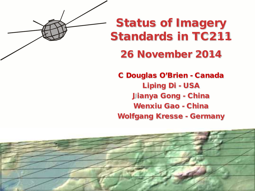

## Status of Imagery Standards in TC211

#### 26 November 2014

C Douglas O'Brien - Canada Liping Di - USA Jianya Gong - China Wenxiu Gao - China Wolfgang Kresse - Germany

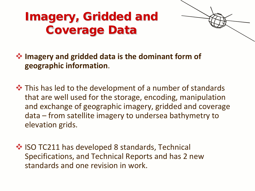### Imagery, Gridded and Coverage Data



 **Imagery and gridded data is the dominant form of geographic information**.

 $\cdot$  This has led to the development of a number of standards that are well used for the storage, encoding, manipulation and exchange of geographic imagery, gridded and coverage data – from satellite imagery to undersea bathymetry to elevation grids.

 $\cdot$  **ISO TC211 has developed 8 standards, Technical** Specifications, and Technical Reports and has 2 new standards and one revision in work.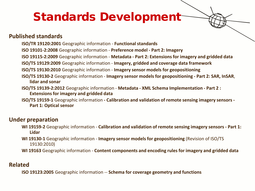### Standards Development

#### **Published standards**

- **ISO/TR 19120:2001** Geographic information **Functional standards**
- **ISO 19101-2:2008** Geographic information **Preference model - Part 2: Imagery**
- **ISO 19115-2:2009** Geographic information **Metadata - Part 2: Extensions for imagery and gridded data**
- **ISO/TS 19129:2009** Geographic information **Imagery, gridded and coverage data framework**
- **ISO/TS 19130:2010** Geographic information **Imagery sensor models for geopositioning**
- **ISO/TS 19130-2** Geographic information **Imagery sensor models for geopositioning - Part 2: SAR, InSAR**, **lidar and sonar**
- **ISO/TS 19139-2:2012** Geographic information **Metadata - XML Schema Implementation - Part 2 : Extensions for imagery and gridded data**
- **ISO/TS 19159-1** Geographic information **- Calibration and validation of remote sensing imagery sensors - Part 1: Optical sensor**

#### **Under preparation**

- **WI 19159-2** Geographic information **Calibration and validation of remote sensing imagery sensors - Part 1: Lidar**
- **WI 19130-1** Geographic information **Imagery sensor models for geopositioning** (Revision of ISO/TS 19130:2010)
- **WI 19163** Geographic information **Content components and encoding rules for imagery and gridded data**

#### **Related**

**ISO 19123:2005** Geographic information -- **Schema for coverage geometry and functions**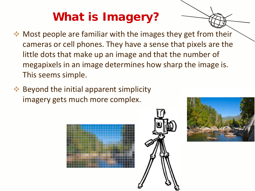# What is Imagery?

- $\bullet\bullet$  Most people are familiar with the images they get from their cameras or cell phones. They have a sense that pixels are the little dots that make up an image and that the number of megapixels in an image determines how sharp the image is. This seems simple.
- **◆ Beyond the initial apparent simplicity** imagery gets much more complex.





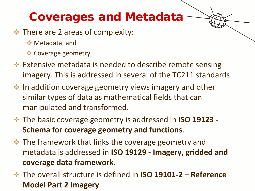### Coverages and Metadata

- $\cdot$  There are 2 areas of complexity:
	- **◆ Metadata**; and
	- Coverage geometry.
- **Extensive metadata is needed to describe remote sensing** imagery. This is addressed in several of the TC211 standards.
- $\cdot$  In addition coverage geometry views imagery and other similar types of data as mathematical fields that can manipulated and transformed.
- The basic coverage geometry is addressed in **ISO 19123 - Schema for coverage geometry and functions**.
- $\cdot$  The framework that links the coverage geometry and metadata is addressed in **ISO 19129 - Imagery, gridded and coverage data framework**.
- The overall structure is defined in **ISO 19101-2 – Reference Model Part 2 Imagery**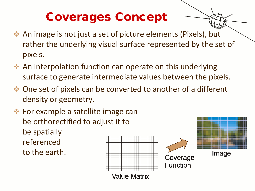## Coverages Concept

- An image is not just a set of picture elements (Pixels), but rather the underlying visual surface represented by the set of pixels.
- An interpolation function can operate on this underlying surface to generate intermediate values between the pixels.
- One set of pixels can be converted to another of a different density or geometry.
- **★ For example a satellite image can** be orthorectified to adjust it to be spatially referenced to the earth.

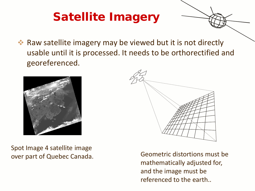## Satellite Imagery

 Raw satellite imagery may be viewed but it is not directly usable until it is processed. It needs to be orthorectified and georeferenced.



Spot Image 4 satellite image



over part of Quebec Canada. Geometric distortions must be mathematically adjusted for, and the image must be referenced to the earth..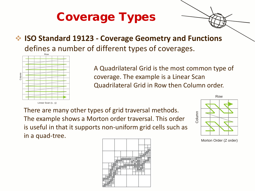# Coverage Types

#### **ISO Standard 19123 - Coverage Geometry and Functions**  defines a number of different types of coverages.



A Quadrilateral Grid is the most common type of coverage. The example is a Linear Scan Quadrilateral Grid in Row then Column order.

There are many other types of grid traversal methods. The example shows a Morton order traversal. This order is useful in that it supports non-uniform grid cells such as in a quad-tree.





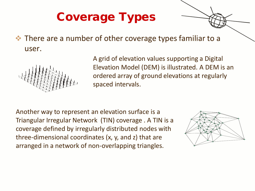# Coverage Types

 $\cdot$  There are a number of other coverage types familiar to a user.



A grid of elevation values supporting a Digital Elevation Model (DEM) is illustrated. A DEM is an ordered array of ground elevations at regularly spaced intervals.

Another way to represent an elevation surface is a Triangular Irregular Network (TIN) coverage . A TIN is a coverage defined by irregularly distributed nodes with three-dimensional coordinates (x, y, and z) that are arranged in a network of non-overlapping triangles.

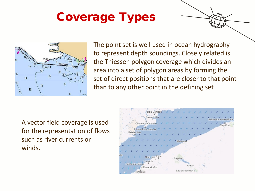### Coverage Types



The point set is well used in ocean hydrography to represent depth soundings. Closely related is the Thiessen polygon coverage which divides an area into a set of polygon areas by forming the set of direct positions that are closer to that point than to any other point in the defining set

A vector field coverage is used for the representation of flows such as river currents or winds.

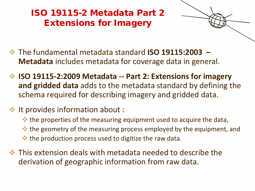ISO 19115-2 Metadata Part 2 Extensions for Imagery



- The fundamental metadata standard **ISO 19115:2003 – Metadata** includes metadata for coverage data in general.
- **ISO 19115-2:2009 Metadata -- Part 2: Extensions for imagery and gridded data** adds to the metadata standard by defining the schema required for describing imagery and gridded data.
- $\cdot$  It provides information about :
	- the properties of the measuring equipment used to acquire the data,
	- the geometry of the measuring process employed by the equipment, and
	- $\bullet\bullet$  the production process used to digitize the raw data.
- $\cdot$  This extension deals with metadata needed to describe the derivation of geographic information from raw data.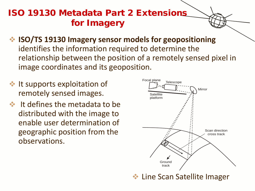#### ISO 19130 Metadata Part 2 Extensions for Imagery

- **ISO/TS 19130 Imagery sensor models for geopositioning**  identifies the information required to determine the relationship between the position of a remotely sensed pixel in image coordinates and its geoposition.
- $\cdot$  It supports exploitation of remotely sensed images.
- $\cdot$  It defines the metadata to be distributed with the image to enable user determination of geographic position from the observations.



**Line Scan Satellite Imager**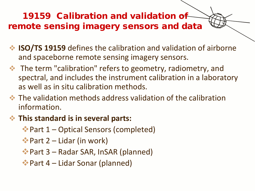19159 Calibration and validation of remote sensing imagery sensors and data

- **ISO/TS 19159** defines the calibration and validation of airborne and spaceborne remote sensing imagery sensors.
- **EXA:** The term "calibration" refers to geometry, radiometry, and spectral, and includes the instrument calibration in a laboratory as well as in situ calibration methods.
- $\cdot$  The validation methods address validation of the calibration information.
- **This standard is in several parts:**
	- Part 1 Optical Sensors (completed)
	- $\bullet$  Part 2 Lidar (in work)
	- Part 3 Radar SAR, InSAR (planned)
	- Part 4 Lidar Sonar (planned)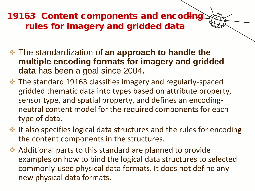#### 19163 Content components and encoding rules for imagery and gridded data

- The standardization of **an approach to handle the multiple encoding formats for imagery and gridded data** has been a goal since 2004**.**
- $\cdot$  The standard 19163 classifies imagery and regularly-spaced gridded thematic data into types based on attribute property, sensor type, and spatial property, and defines an encodingneutral content model for the required components for each type of data.
- $\cdot$  It also specifies logical data structures and the rules for encoding the content components in the structures.
- Additional parts to this standard are planned to provide examples on how to bind the logical data structures to selected commonly-used physical data formats. It does not define any new physical data formats.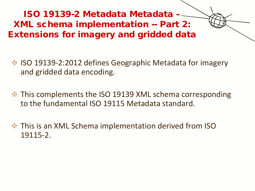ISO 19139-2 Metadata Metadata – XML schema implementation -- Part 2: Extensions for imagery and gridded data

- ◆ ISO 19139-2:2012 defines Geographic Metadata for imagery and gridded data encoding.
- $\cdot$  This complements the ISO 19139 XML schema corresponding to the fundamental ISO 19115 Metadata standard.
- **☆** This is an XML Schema implementation derived from ISO 19115-2.